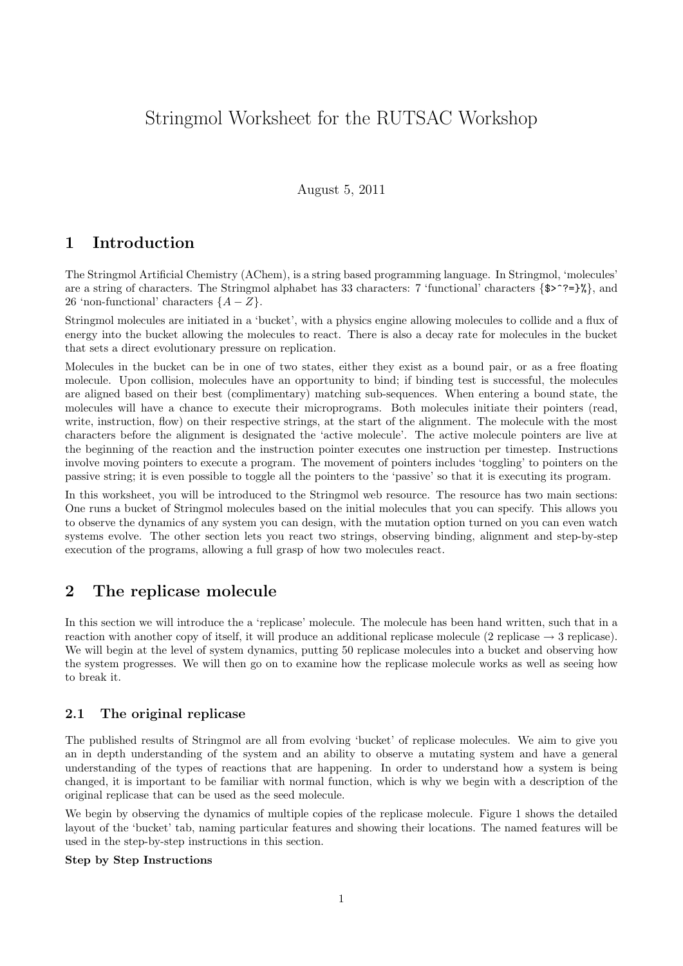# Stringmol Worksheet for the RUTSAC Workshop

August 5, 2011

## 1 Introduction

The Stringmol Artificial Chemistry (AChem), is a string based programming language. In Stringmol, 'molecules' are a string of characters. The Stringmol alphabet has 33 characters: 7 'functional' characters {\$>^?=}%}, and 26 'non-functional' characters  $\{A - Z\}$ .

Stringmol molecules are initiated in a 'bucket', with a physics engine allowing molecules to collide and a flux of energy into the bucket allowing the molecules to react. There is also a decay rate for molecules in the bucket that sets a direct evolutionary pressure on replication.

Molecules in the bucket can be in one of two states, either they exist as a bound pair, or as a free floating molecule. Upon collision, molecules have an opportunity to bind; if binding test is successful, the molecules are aligned based on their best (complimentary) matching sub-sequences. When entering a bound state, the molecules will have a chance to execute their microprograms. Both molecules initiate their pointers (read, write, instruction, flow) on their respective strings, at the start of the alignment. The molecule with the most characters before the alignment is designated the 'active molecule'. The active molecule pointers are live at the beginning of the reaction and the instruction pointer executes one instruction per timestep. Instructions involve moving pointers to execute a program. The movement of pointers includes 'toggling' to pointers on the passive string; it is even possible to toggle all the pointers to the 'passive' so that it is executing its program.

In this worksheet, you will be introduced to the Stringmol web resource. The resource has two main sections: One runs a bucket of Stringmol molecules based on the initial molecules that you can specify. This allows you to observe the dynamics of any system you can design, with the mutation option turned on you can even watch systems evolve. The other section lets you react two strings, observing binding, alignment and step-by-step execution of the programs, allowing a full grasp of how two molecules react.

## 2 The replicase molecule

In this section we will introduce the a 'replicase' molecule. The molecule has been hand written, such that in a reaction with another copy of itself, it will produce an additional replicase molecule (2 replicase  $\rightarrow$  3 replicase). We will begin at the level of system dynamics, putting 50 replicase molecules into a bucket and observing how the system progresses. We will then go on to examine how the replicase molecule works as well as seeing how to break it.

### 2.1 The original replicase

The published results of Stringmol are all from evolving 'bucket' of replicase molecules. We aim to give you an in depth understanding of the system and an ability to observe a mutating system and have a general understanding of the types of reactions that are happening. In order to understand how a system is being changed, it is important to be familiar with normal function, which is why we begin with a description of the original replicase that can be used as the seed molecule.

We begin by observing the dynamics of multiple copies of the replicase molecule. Figure 1 shows the detailed layout of the 'bucket' tab, naming particular features and showing their locations. The named features will be used in the step-by-step instructions in this section.

#### Step by Step Instructions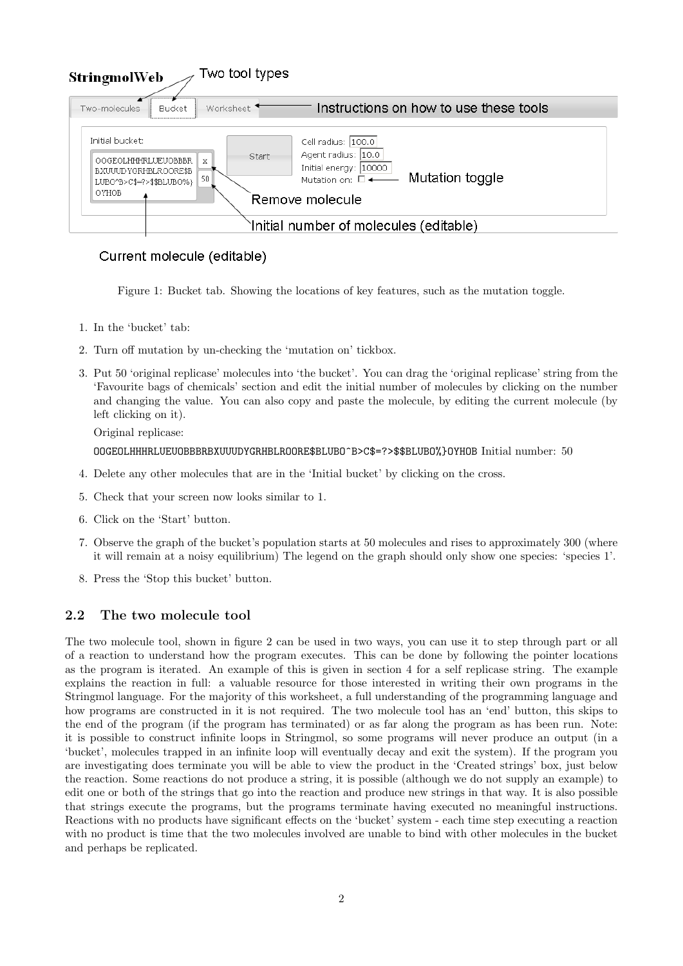| Two tool types<br>StringmolWeb                                                                                                       |                                                                                                                                     |
|--------------------------------------------------------------------------------------------------------------------------------------|-------------------------------------------------------------------------------------------------------------------------------------|
| Worksheet<br>Two-molecules<br>Bucket                                                                                                 | Instructions on how to use these tools                                                                                              |
| Initial bucket:<br>Start<br>OOGEOLHHHRLUEUOBBBR<br>x<br>BXUUUDYGRHBLROORE\$B<br>50 <sub>1</sub><br>LUBO^B>C\$=?>\$\$BLUBO%}<br>OYHOB | Cell radius: 100.0<br>Agent radius: 10.0<br>Initial energy: 10000<br>Mutation toggle<br>Mutation on: $\square$ <<br>Remove molecule |
|                                                                                                                                      | Initial number of molecules (editable)                                                                                              |

## Current molecule (editable)

Figure 1: Bucket tab. Showing the locations of key features, such as the mutation toggle.

- 1. In the 'bucket' tab:
- 2. Turn off mutation by un-checking the 'mutation on' tickbox.
- 3. Put 50 'original replicase' molecules into 'the bucket'. You can drag the 'original replicase' string from the 'Favourite bags of chemicals' section and edit the initial number of molecules by clicking on the number and changing the value. You can also copy and paste the molecule, by editing the current molecule (by left clicking on it).

Original replicase:

```
OOGEOLHHHRLUEUOBBBRBXUUUDYGRHBLROORE$BLUBO^B>C$=?>$$BLUBO%}OYHOB Initial number: 50
```
- 4. Delete any other molecules that are in the 'Initial bucket' by clicking on the cross.
- 5. Check that your screen now looks similar to 1.
- 6. Click on the 'Start' button.
- 7. Observe the graph of the bucket's population starts at 50 molecules and rises to approximately 300 (where it will remain at a noisy equilibrium) The legend on the graph should only show one species: 'species 1'.
- 8. Press the 'Stop this bucket' button.

## 2.2 The two molecule tool

The two molecule tool, shown in figure 2 can be used in two ways, you can use it to step through part or all of a reaction to understand how the program executes. This can be done by following the pointer locations as the program is iterated. An example of this is given in section 4 for a self replicase string. The example explains the reaction in full: a valuable resource for those interested in writing their own programs in the Stringmol language. For the majority of this worksheet, a full understanding of the programming language and how programs are constructed in it is not required. The two molecule tool has an 'end' button, this skips to the end of the program (if the program has terminated) or as far along the program as has been run. Note: it is possible to construct infinite loops in Stringmol, so some programs will never produce an output (in a 'bucket', molecules trapped in an infinite loop will eventually decay and exit the system). If the program you are investigating does terminate you will be able to view the product in the 'Created strings' box, just below the reaction. Some reactions do not produce a string, it is possible (although we do not supply an example) to edit one or both of the strings that go into the reaction and produce new strings in that way. It is also possible that strings execute the programs, but the programs terminate having executed no meaningful instructions. Reactions with no products have significant effects on the 'bucket' system - each time step executing a reaction with no product is time that the two molecules involved are unable to bind with other molecules in the bucket and perhaps be replicated.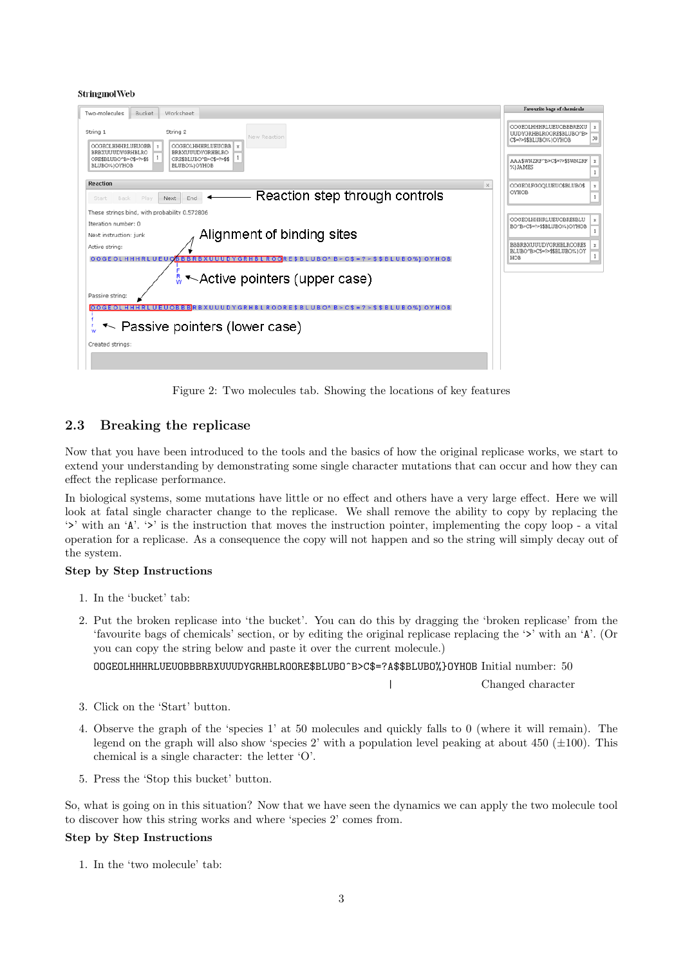**StringmolWeb** 



Figure 2: Two molecules tab. Showing the locations of key features

### 2.3 Breaking the replicase

Now that you have been introduced to the tools and the basics of how the original replicase works, we start to extend your understanding by demonstrating some single character mutations that can occur and how they can effect the replicase performance.

In biological systems, some mutations have little or no effect and others have a very large effect. Here we will look at fatal single character change to the replicase. We shall remove the ability to copy by replacing the '>' with an 'A'. '>' is the instruction that moves the instruction pointer, implementing the copy loop - a vital operation for a replicase. As a consequence the copy will not happen and so the string will simply decay out of the system.

#### Step by Step Instructions

- 1. In the 'bucket' tab:
- 2. Put the broken replicase into 'the bucket'. You can do this by dragging the 'broken replicase' from the 'favourite bags of chemicals' section, or by editing the original replicase replacing the '>' with an 'A'. (Or you can copy the string below and paste it over the current molecule.)

| Changed character

OOGEOLHHHRLUEUOBBBRBXUUUDYGRHBLROORE\$BLUBO^B>C\$=?A\$\$BLUBO%}OYHOB Initial number: 50

- 3. Click on the 'Start' button.
- 4. Observe the graph of the 'species 1' at 50 molecules and quickly falls to 0 (where it will remain). The legend on the graph will also show 'species 2' with a population level peaking at about 450 ( $\pm$ 100). This chemical is a single character: the letter 'O'.
- 5. Press the 'Stop this bucket' button.

So, what is going on in this situation? Now that we have seen the dynamics we can apply the two molecule tool to discover how this string works and where 'species 2' comes from.

### Step by Step Instructions

1. In the 'two molecule' tab: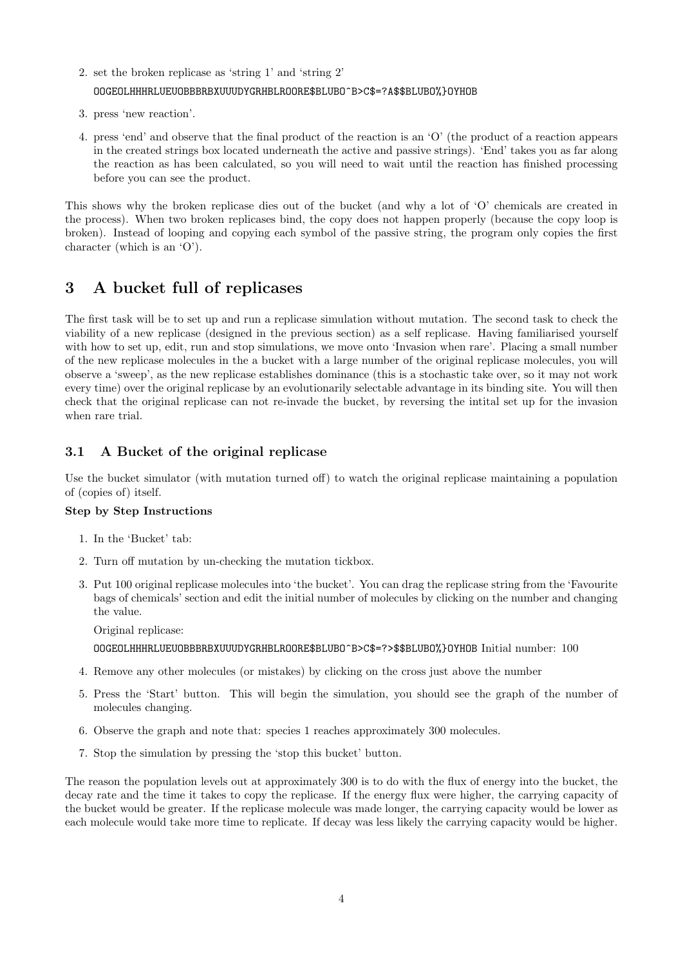- 2. set the broken replicase as 'string 1' and 'string 2' OOGEOLHHHRLUEUOBBBRBXUUUDYGRHBLROORE\$BLUBO^B>C\$=?A\$\$BLUBO%}OYHOB
- 3. press 'new reaction'.
- 4. press 'end' and observe that the final product of the reaction is an 'O' (the product of a reaction appears in the created strings box located underneath the active and passive strings). 'End' takes you as far along the reaction as has been calculated, so you will need to wait until the reaction has finished processing before you can see the product.

This shows why the broken replicase dies out of the bucket (and why a lot of 'O' chemicals are created in the process). When two broken replicases bind, the copy does not happen properly (because the copy loop is broken). Instead of looping and copying each symbol of the passive string, the program only copies the first character (which is an 'O').

## 3 A bucket full of replicases

The first task will be to set up and run a replicase simulation without mutation. The second task to check the viability of a new replicase (designed in the previous section) as a self replicase. Having familiarised yourself with how to set up, edit, run and stop simulations, we move onto 'Invasion when rare'. Placing a small number of the new replicase molecules in the a bucket with a large number of the original replicase molecules, you will observe a 'sweep', as the new replicase establishes dominance (this is a stochastic take over, so it may not work every time) over the original replicase by an evolutionarily selectable advantage in its binding site. You will then check that the original replicase can not re-invade the bucket, by reversing the intital set up for the invasion when rare trial.

## 3.1 A Bucket of the original replicase

Use the bucket simulator (with mutation turned off) to watch the original replicase maintaining a population of (copies of) itself.

#### Step by Step Instructions

- 1. In the 'Bucket' tab:
- 2. Turn off mutation by un-checking the mutation tickbox.
- 3. Put 100 original replicase molecules into 'the bucket'. You can drag the replicase string from the 'Favourite bags of chemicals' section and edit the initial number of molecules by clicking on the number and changing the value.

Original replicase:

OOGEOLHHHRLUEUOBBBRBXUUUDYGRHBLROORE\$BLUBO^B>C\$=?>\$\$BLUBO%}OYHOB Initial number: 100

- 4. Remove any other molecules (or mistakes) by clicking on the cross just above the number
- 5. Press the 'Start' button. This will begin the simulation, you should see the graph of the number of molecules changing.
- 6. Observe the graph and note that: species 1 reaches approximately 300 molecules.
- 7. Stop the simulation by pressing the 'stop this bucket' button.

The reason the population levels out at approximately 300 is to do with the flux of energy into the bucket, the decay rate and the time it takes to copy the replicase. If the energy flux were higher, the carrying capacity of the bucket would be greater. If the replicase molecule was made longer, the carrying capacity would be lower as each molecule would take more time to replicate. If decay was less likely the carrying capacity would be higher.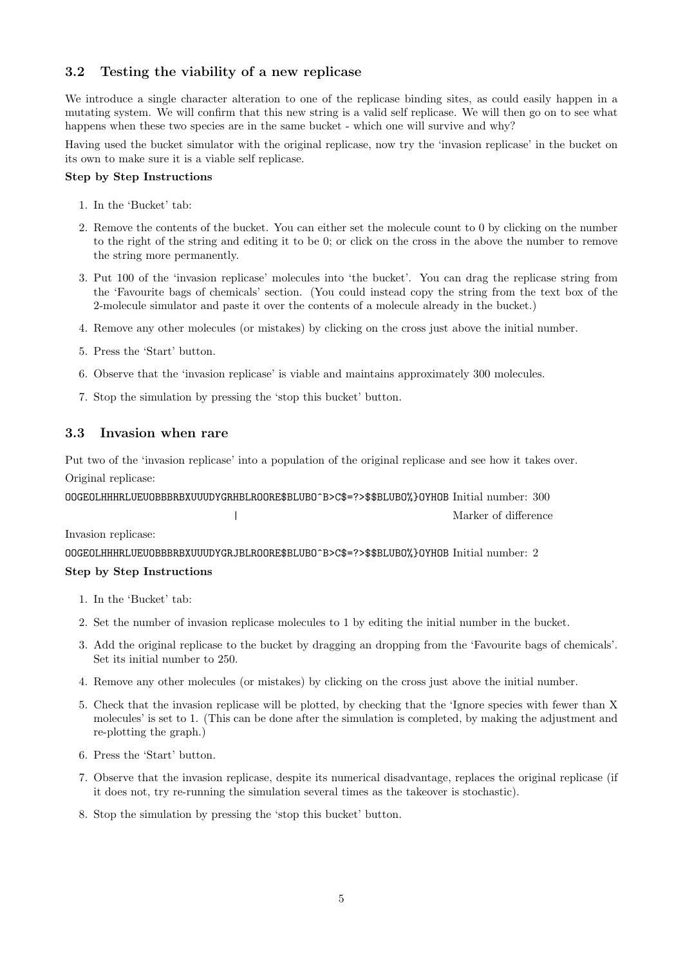## 3.2 Testing the viability of a new replicase

We introduce a single character alteration to one of the replicase binding sites, as could easily happen in a mutating system. We will confirm that this new string is a valid self replicase. We will then go on to see what happens when these two species are in the same bucket - which one will survive and why?

Having used the bucket simulator with the original replicase, now try the 'invasion replicase' in the bucket on its own to make sure it is a viable self replicase.

#### Step by Step Instructions

- 1. In the 'Bucket' tab:
- 2. Remove the contents of the bucket. You can either set the molecule count to 0 by clicking on the number to the right of the string and editing it to be 0; or click on the cross in the above the number to remove the string more permanently.
- 3. Put 100 of the 'invasion replicase' molecules into 'the bucket'. You can drag the replicase string from the 'Favourite bags of chemicals' section. (You could instead copy the string from the text box of the 2-molecule simulator and paste it over the contents of a molecule already in the bucket.)
- 4. Remove any other molecules (or mistakes) by clicking on the cross just above the initial number.
- 5. Press the 'Start' button.
- 6. Observe that the 'invasion replicase' is viable and maintains approximately 300 molecules.
- 7. Stop the simulation by pressing the 'stop this bucket' button.

### 3.3 Invasion when rare

Put two of the 'invasion replicase' into a population of the original replicase and see how it takes over. Original replicase:

OOGEOLHHHRLUEUOBBBRBXUUUDYGRHBLROORE\$BLUBO^B>C\$=?>\$\$BLUBO%}OYHOB Initial number: 300

Invasion replicase:

OOGEOLHHHRLUEUOBBBRBXUUUDYGRJBLROORE\$BLUBO^B>C\$=?>\$\$BLUBO%}OYHOB Initial number: 2

#### Step by Step Instructions

- 1. In the 'Bucket' tab:
- 2. Set the number of invasion replicase molecules to 1 by editing the initial number in the bucket.
- 3. Add the original replicase to the bucket by dragging an dropping from the 'Favourite bags of chemicals'. Set its initial number to 250.

| Marker of difference

- 4. Remove any other molecules (or mistakes) by clicking on the cross just above the initial number.
- 5. Check that the invasion replicase will be plotted, by checking that the 'Ignore species with fewer than X molecules' is set to 1. (This can be done after the simulation is completed, by making the adjustment and re-plotting the graph.)
- 6. Press the 'Start' button.
- 7. Observe that the invasion replicase, despite its numerical disadvantage, replaces the original replicase (if it does not, try re-running the simulation several times as the takeover is stochastic).
- 8. Stop the simulation by pressing the 'stop this bucket' button.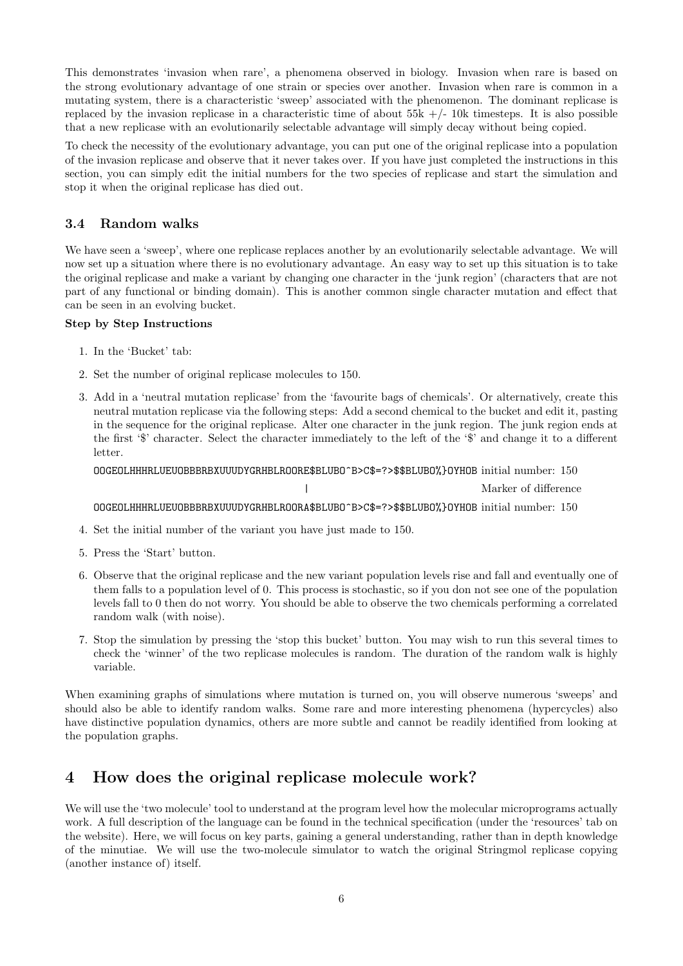This demonstrates 'invasion when rare', a phenomena observed in biology. Invasion when rare is based on the strong evolutionary advantage of one strain or species over another. Invasion when rare is common in a mutating system, there is a characteristic 'sweep' associated with the phenomenon. The dominant replicase is replaced by the invasion replicase in a characteristic time of about  $55k + (-10k)$  timesteps. It is also possible that a new replicase with an evolutionarily selectable advantage will simply decay without being copied.

To check the necessity of the evolutionary advantage, you can put one of the original replicase into a population of the invasion replicase and observe that it never takes over. If you have just completed the instructions in this section, you can simply edit the initial numbers for the two species of replicase and start the simulation and stop it when the original replicase has died out.

### 3.4 Random walks

We have seen a 'sweep', where one replicase replaces another by an evolutionarily selectable advantage. We will now set up a situation where there is no evolutionary advantage. An easy way to set up this situation is to take the original replicase and make a variant by changing one character in the 'junk region' (characters that are not part of any functional or binding domain). This is another common single character mutation and effect that can be seen in an evolving bucket.

#### Step by Step Instructions

- 1. In the 'Bucket' tab:
- 2. Set the number of original replicase molecules to 150.
- 3. Add in a 'neutral mutation replicase' from the 'favourite bags of chemicals'. Or alternatively, create this neutral mutation replicase via the following steps: Add a second chemical to the bucket and edit it, pasting in the sequence for the original replicase. Alter one character in the junk region. The junk region ends at the first '\$' character. Select the character immediately to the left of the '\$' and change it to a different letter.

OOGEOLHHHRLUEUOBBBRBXUUUDYGRHBLROORE\$BLUBO^B>C\$=?>\$\$BLUBO%}OYHOB initial number: 150

| Marker of difference

OOGEOLHHHRLUEUOBBBRBXUUUDYGRHBLROORA\$BLUBO^B>C\$=?>\$\$BLUBO%}OYHOB initial number: 150

- 4. Set the initial number of the variant you have just made to 150.
- 5. Press the 'Start' button.
- 6. Observe that the original replicase and the new variant population levels rise and fall and eventually one of them falls to a population level of 0. This process is stochastic, so if you don not see one of the population levels fall to 0 then do not worry. You should be able to observe the two chemicals performing a correlated random walk (with noise).
- 7. Stop the simulation by pressing the 'stop this bucket' button. You may wish to run this several times to check the 'winner' of the two replicase molecules is random. The duration of the random walk is highly variable.

When examining graphs of simulations where mutation is turned on, you will observe numerous 'sweeps' and should also be able to identify random walks. Some rare and more interesting phenomena (hypercycles) also have distinctive population dynamics, others are more subtle and cannot be readily identified from looking at the population graphs.

## 4 How does the original replicase molecule work?

We will use the 'two molecule' tool to understand at the program level how the molecular microprograms actually work. A full description of the language can be found in the technical specification (under the 'resources' tab on the website). Here, we will focus on key parts, gaining a general understanding, rather than in depth knowledge of the minutiae. We will use the two-molecule simulator to watch the original Stringmol replicase copying (another instance of) itself.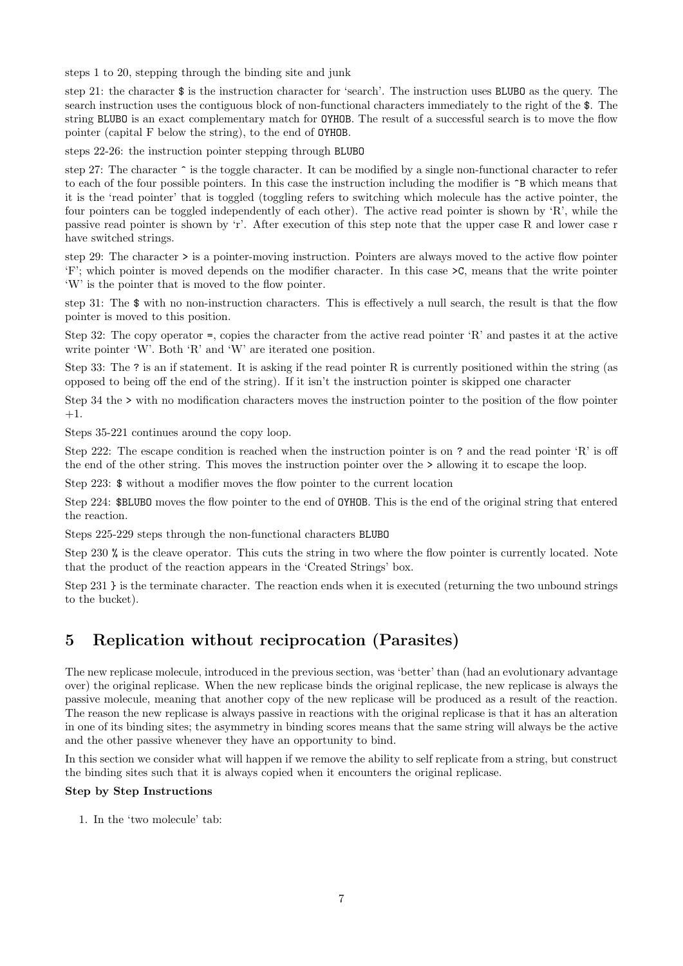steps 1 to 20, stepping through the binding site and junk

step 21: the character \$ is the instruction character for 'search'. The instruction uses BLUBO as the query. The search instruction uses the contiguous block of non-functional characters immediately to the right of the \$. The string BLUBO is an exact complementary match for OYHOB. The result of a successful search is to move the flow pointer (capital F below the string), to the end of OYHOB.

steps 22-26: the instruction pointer stepping through BLUBO

step 27: The character ^ is the toggle character. It can be modified by a single non-functional character to refer to each of the four possible pointers. In this case the instruction including the modifier is ^B which means that it is the 'read pointer' that is toggled (toggling refers to switching which molecule has the active pointer, the four pointers can be toggled independently of each other). The active read pointer is shown by 'R', while the passive read pointer is shown by 'r'. After execution of this step note that the upper case R and lower case r have switched strings.

step 29: The character > is a pointer-moving instruction. Pointers are always moved to the active flow pointer 'F'; which pointer is moved depends on the modifier character. In this case >C, means that the write pointer 'W' is the pointer that is moved to the flow pointer.

step 31: The \$ with no non-instruction characters. This is effectively a null search, the result is that the flow pointer is moved to this position.

Step 32: The copy operator =, copies the character from the active read pointer 'R' and pastes it at the active write pointer 'W'. Both 'R' and 'W' are iterated one position.

Step 33: The ? is an if statement. It is asking if the read pointer R is currently positioned within the string (as opposed to being off the end of the string). If it isn't the instruction pointer is skipped one character

Step 34 the > with no modification characters moves the instruction pointer to the position of the flow pointer +1.

Steps 35-221 continues around the copy loop.

Step 222: The escape condition is reached when the instruction pointer is on ? and the read pointer 'R' is off the end of the other string. This moves the instruction pointer over the > allowing it to escape the loop.

Step 223: \$ without a modifier moves the flow pointer to the current location

Step 224: \$BLUBO moves the flow pointer to the end of OYHOB. This is the end of the original string that entered the reaction.

Steps 225-229 steps through the non-functional characters BLUBO

Step 230 % is the cleave operator. This cuts the string in two where the flow pointer is currently located. Note that the product of the reaction appears in the 'Created Strings' box.

Step 231 } is the terminate character. The reaction ends when it is executed (returning the two unbound strings to the bucket).

## 5 Replication without reciprocation (Parasites)

The new replicase molecule, introduced in the previous section, was 'better' than (had an evolutionary advantage over) the original replicase. When the new replicase binds the original replicase, the new replicase is always the passive molecule, meaning that another copy of the new replicase will be produced as a result of the reaction. The reason the new replicase is always passive in reactions with the original replicase is that it has an alteration in one of its binding sites; the asymmetry in binding scores means that the same string will always be the active and the other passive whenever they have an opportunity to bind.

In this section we consider what will happen if we remove the ability to self replicate from a string, but construct the binding sites such that it is always copied when it encounters the original replicase.

#### Step by Step Instructions

1. In the 'two molecule' tab: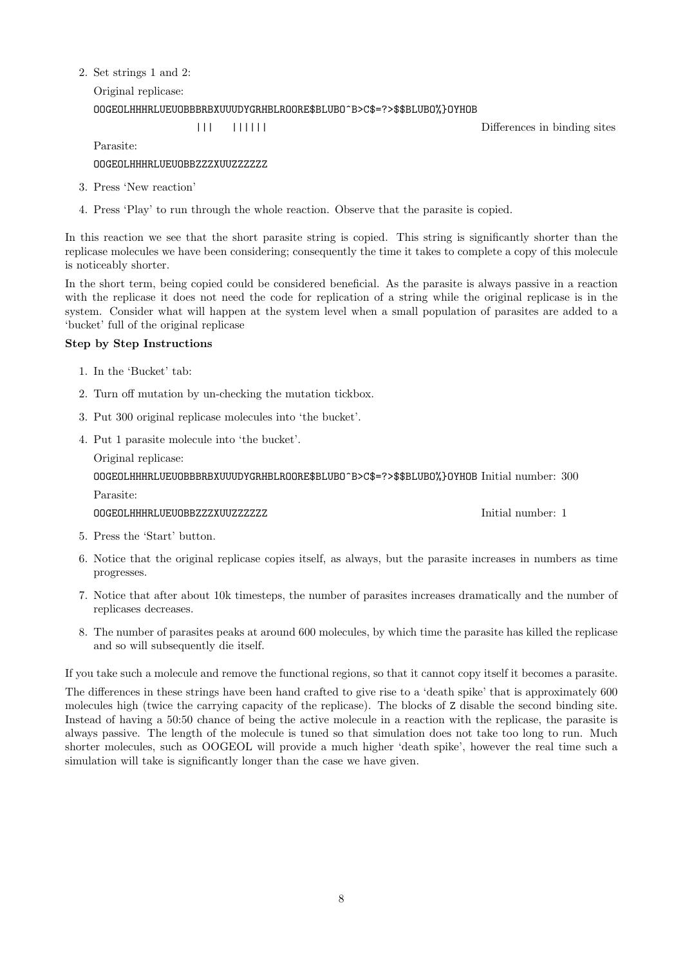2. Set strings 1 and 2:

Original replicase:

#### OOGEOLHHHRLUEUOBBBRBXUUUDYGRHBLROORE\$BLUBO^B>C\$=?>\$\$BLUBO%}OYHOB

||| |||||| Differences in binding sites

Parasite:

OOGEOLHHHRLUEUOBBZZZXUUZZZZZZ

- 3. Press 'New reaction'
- 4. Press 'Play' to run through the whole reaction. Observe that the parasite is copied.

In this reaction we see that the short parasite string is copied. This string is significantly shorter than the replicase molecules we have been considering; consequently the time it takes to complete a copy of this molecule is noticeably shorter.

In the short term, being copied could be considered beneficial. As the parasite is always passive in a reaction with the replicase it does not need the code for replication of a string while the original replicase is in the system. Consider what will happen at the system level when a small population of parasites are added to a 'bucket' full of the original replicase

#### Step by Step Instructions

- 1. In the 'Bucket' tab:
- 2. Turn off mutation by un-checking the mutation tickbox.
- 3. Put 300 original replicase molecules into 'the bucket'.

4. Put 1 parasite molecule into 'the bucket'.

Original replicase: OOGEOLHHHRLUEUOBBBRBXUUUDYGRHBLROORE\$BLUBO^B>C\$=?>\$\$BLUBO%}OYHOB Initial number: 300 Parasite:

OOGEOLHHHRLUEUOBBZZZXUUZZZZZZ Initial number: 1

- 5. Press the 'Start' button.
- 6. Notice that the original replicase copies itself, as always, but the parasite increases in numbers as time progresses.
- 7. Notice that after about 10k timesteps, the number of parasites increases dramatically and the number of replicases decreases.
- 8. The number of parasites peaks at around 600 molecules, by which time the parasite has killed the replicase and so will subsequently die itself.

If you take such a molecule and remove the functional regions, so that it cannot copy itself it becomes a parasite.

The differences in these strings have been hand crafted to give rise to a 'death spike' that is approximately 600 molecules high (twice the carrying capacity of the replicase). The blocks of Z disable the second binding site. Instead of having a 50:50 chance of being the active molecule in a reaction with the replicase, the parasite is always passive. The length of the molecule is tuned so that simulation does not take too long to run. Much shorter molecules, such as OOGEOL will provide a much higher 'death spike', however the real time such a simulation will take is significantly longer than the case we have given.